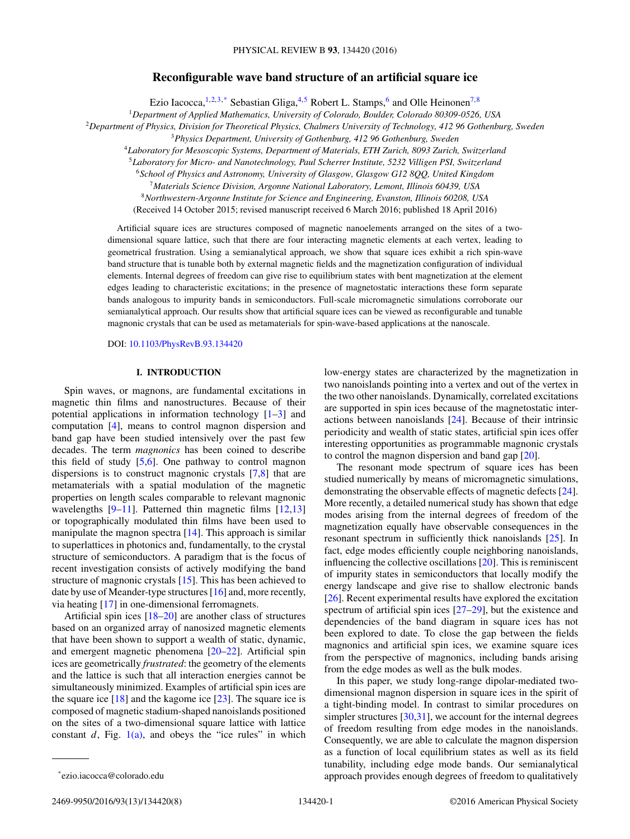# **Reconfigurable wave band structure of an artificial square ice**

Ezio Iacocca,<sup>1,2,3,\*</sup> Sebastian Gliga,<sup>4,5</sup> Robert L. Stamps,<sup>6</sup> and Olle Heinonen<sup>7,8</sup>

<sup>1</sup>*Department of Applied Mathematics, University of Colorado, Boulder, Colorado 80309-0526, USA*

<sup>2</sup>*Department of Physics, Division for Theoretical Physics, Chalmers University of Technology, 412 96 Gothenburg, Sweden*

<sup>3</sup>*Physics Department, University of Gothenburg, 412 96 Gothenburg, Sweden*

<sup>4</sup>*Laboratory for Mesoscopic Systems, Department of Materials, ETH Zurich, 8093 Zurich, Switzerland*

<sup>5</sup>*Laboratory for Micro- and Nanotechnology, Paul Scherrer Institute, 5232 Villigen PSI, Switzerland*

<sup>6</sup>*School of Physics and Astronomy, University of Glasgow, Glasgow G12 8QQ, United Kingdom*

<sup>7</sup>*Materials Science Division, Argonne National Laboratory, Lemont, Illinois 60439, USA*

<sup>8</sup>*Northwestern-Argonne Institute for Science and Engineering, Evanston, Illinois 60208, USA*

(Received 14 October 2015; revised manuscript received 6 March 2016; published 18 April 2016)

Artificial square ices are structures composed of magnetic nanoelements arranged on the sites of a twodimensional square lattice, such that there are four interacting magnetic elements at each vertex, leading to geometrical frustration. Using a semianalytical approach, we show that square ices exhibit a rich spin-wave band structure that is tunable both by external magnetic fields and the magnetization configuration of individual elements. Internal degrees of freedom can give rise to equilibrium states with bent magnetization at the element edges leading to characteristic excitations; in the presence of magnetostatic interactions these form separate bands analogous to impurity bands in semiconductors. Full-scale micromagnetic simulations corroborate our semianalytical approach. Our results show that artificial square ices can be viewed as reconfigurable and tunable magnonic crystals that can be used as metamaterials for spin-wave-based applications at the nanoscale.

DOI: [10.1103/PhysRevB.93.134420](http://dx.doi.org/10.1103/PhysRevB.93.134420)

### **I. INTRODUCTION**

Spin waves, or magnons, are fundamental excitations in magnetic thin films and nanostructures. Because of their potential applications in information technology [\[1–3\]](#page-6-0) and computation [\[4\]](#page-6-0), means to control magnon dispersion and band gap have been studied intensively over the past few decades. The term *magnonics* has been coined to describe this field of study [\[5,6\]](#page-6-0). One pathway to control magnon dispersions is to construct magnonic crystals [\[7,8\]](#page-6-0) that are metamaterials with a spatial modulation of the magnetic properties on length scales comparable to relevant magnonic wavelengths  $[9-11]$ . Patterned thin magnetic films  $[12,13]$ or topographically modulated thin films have been used to manipulate the magnon spectra [\[14\]](#page-6-0). This approach is similar to superlattices in photonics and, fundamentally, to the crystal structure of semiconductors. A paradigm that is the focus of recent investigation consists of actively modifying the band structure of magnonic crystals [\[15\]](#page-6-0). This has been achieved to date by use of Meander-type structures [\[16\]](#page-6-0) and, more recently, via heating [\[17\]](#page-6-0) in one-dimensional ferromagnets.

Artificial spin ices [\[18–20\]](#page-6-0) are another class of structures based on an organized array of nanosized magnetic elements that have been shown to support a wealth of static, dynamic, and emergent magnetic phenomena [\[20–22\]](#page-6-0). Artificial spin ices are geometrically *frustrated*: the geometry of the elements and the lattice is such that all interaction energies cannot be simultaneously minimized. Examples of artificial spin ices are the square ice  $[18]$  and the kagome ice  $[23]$ . The square ice is composed of magnetic stadium-shaped nanoislands positioned on the sites of a two-dimensional square lattice with lattice constant  $d$ , Fig. [1\(a\),](#page-1-0) and obeys the "ice rules" in which low-energy states are characterized by the magnetization in two nanoislands pointing into a vertex and out of the vertex in the two other nanoislands. Dynamically, correlated excitations are supported in spin ices because of the magnetostatic interactions between nanoislands [\[24\]](#page-6-0). Because of their intrinsic periodicity and wealth of static states, artificial spin ices offer interesting opportunities as programmable magnonic crystals to control the magnon dispersion and band gap [\[20\]](#page-6-0).

The resonant mode spectrum of square ices has been studied numerically by means of micromagnetic simulations, demonstrating the observable effects of magnetic defects [\[24\]](#page-6-0). More recently, a detailed numerical study has shown that edge modes arising from the internal degrees of freedom of the magnetization equally have observable consequences in the resonant spectrum in sufficiently thick nanoislands [\[25\]](#page-6-0). In fact, edge modes efficiently couple neighboring nanoislands, influencing the collective oscillations [\[20\]](#page-6-0). This is reminiscent of impurity states in semiconductors that locally modify the energy landscape and give rise to shallow electronic bands [\[26\]](#page-6-0). Recent experimental results have explored the excitation spectrum of artificial spin ices [\[27](#page-6-0)[–29\]](#page-7-0), but the existence and dependencies of the band diagram in square ices has not been explored to date. To close the gap between the fields magnonics and artificial spin ices, we examine square ices from the perspective of magnonics, including bands arising from the edge modes as well as the bulk modes.

In this paper, we study long-range dipolar-mediated twodimensional magnon dispersion in square ices in the spirit of a tight-binding model. In contrast to similar procedures on simpler structures [\[30,31\]](#page-7-0), we account for the internal degrees of freedom resulting from edge modes in the nanoislands. Consequently, we are able to calculate the magnon dispersion as a function of local equilibrium states as well as its field tunability, including edge mode bands. Our semianalytical approach provides enough degrees of freedom to qualitatively

<sup>\*</sup>ezio.iacocca@colorado.edu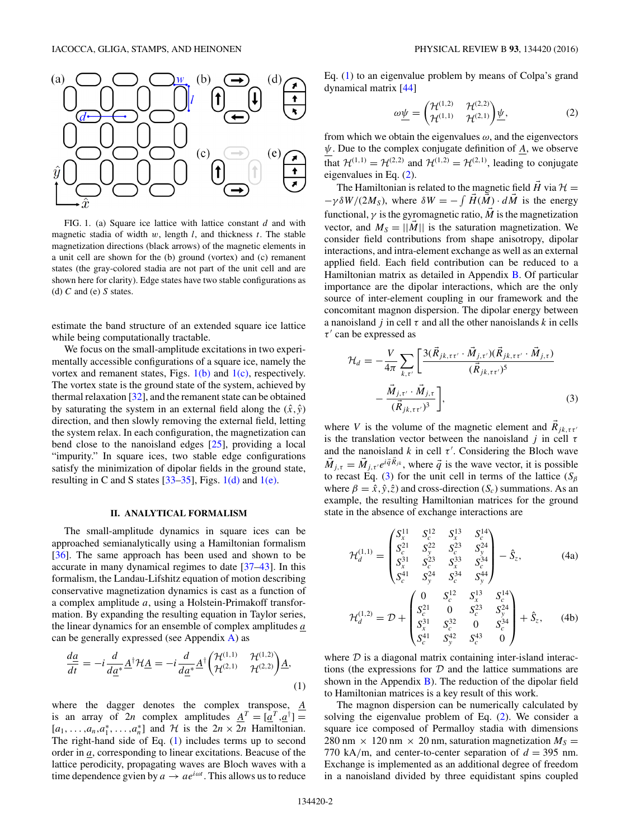<span id="page-1-0"></span>

FIG. 1. (a) Square ice lattice with lattice constant *d* and with magnetic stadia of width *w*, length *l*, and thickness *t*. The stable magnetization directions (black arrows) of the magnetic elements in a unit cell are shown for the (b) ground (vortex) and (c) remanent states (the gray-colored stadia are not part of the unit cell and are shown here for clarity). Edge states have two stable configurations as (d) *C* and (e) *S* states.

estimate the band structure of an extended square ice lattice while being computationally tractable.

We focus on the small-amplitude excitations in two experimentally accessible configurations of a square ice, namely the vortex and remanent states, Figs.  $1(b)$  and  $1(c)$ , respectively. The vortex state is the ground state of the system, achieved by thermal relaxation [\[32\]](#page-7-0), and the remanent state can be obtained by saturating the system in an external field along the  $(\hat{x}, \hat{y})$ direction, and then slowly removing the external field, letting the system relax. In each configuration, the magnetization can bend close to the nanoisland edges [\[25\]](#page-6-0), providing a local "impurity." In square ices, two stable edge configurations satisfy the minimization of dipolar fields in the ground state, resulting in C and S states  $[33-35]$ , Figs. 1(d) and 1(e).

#### **II. ANALYTICAL FORMALISM**

The small-amplitude dynamics in square ices can be approached semianalytically using a Hamiltonian formalism [\[36\]](#page-7-0). The same approach has been used and shown to be accurate in many dynamical regimes to date [\[37–43\]](#page-7-0). In this formalism, the Landau-Lifshitz equation of motion describing conservative magnetization dynamics is cast as a function of a complex amplitude *a*, using a Holstein-Primakoff transformation. By expanding the resulting equation in Taylor series, the linear dynamics for an ensemble of complex amplitudes *a* can be generally expressed (see Appendix [A\)](#page-4-0) as

$$
\frac{d\underline{a}}{dt} = -i \frac{d}{d\underline{a}^*} \underline{A}^\dagger \mathcal{H} \underline{A} = -i \frac{d}{d\underline{a}^*} \underline{A}^\dagger \begin{pmatrix} \mathcal{H}^{(1,1)} & \mathcal{H}^{(1,2)} \\ \mathcal{H}^{(2,1)} & \mathcal{H}^{(2,2)} \end{pmatrix} \underline{A},\tag{1}
$$

where the dagger denotes the complex transpose,  $\underline{A}$ is an array of 2*n* complex amplitudes  $\underline{A}^T = [\underline{a}^T, \underline{a}^{\dagger}] =$  $[a_1, \ldots, a_n, a_1^*, \ldots, a_n^*]$  and  $\mathcal{H}$  is the  $2n \times 2n$  Hamiltonian. The right-hand side of Eq. (1) includes terms up to second order in *a*, corresponding to linear excitations. Beacuse of the lattice perodicity, propagating waves are Bloch waves with a time dependence gvien by  $a \rightarrow a e^{i\omega t}$ . This allows us to reduce Eq. (1) to an eigenvalue problem by means of Colpa's grand dynamical matrix [\[44\]](#page-7-0)

$$
\omega \underline{\psi} = \begin{pmatrix} \mathcal{H}^{(1,2)} & \mathcal{H}^{(2,2)} \\ \mathcal{H}^{(1,1)} & \mathcal{H}^{(2,1)} \end{pmatrix} \underline{\psi},\tag{2}
$$

from which we obtain the eigenvalues  $\omega$ , and the eigenvectors *ψ*. Due to the complex conjugate definition of *A*, we observe that  $\mathcal{H}^{(1,1)} = \mathcal{H}^{(2,2)}$  and  $\mathcal{H}^{(1,2)} = \mathcal{H}^{(2,1)}$ , leading to conjugate eigenvalues in Eq. (2).

The Hamiltonian is related to the magnetic field  $\vec{H}$  via  $\mathcal{H} =$  $-\gamma \delta W/(2M_S)$ , where  $\delta W = -\int \vec{H}(\vec{M}) \cdot d\vec{M}$  is the energy functional,  $\gamma$  is the gyromagnetic ratio,  $\vec{M}$  is the magnetization vector, and  $M_s = ||M||$  is the saturation magnetization. We consider field contributions from shape anisotropy, dipolar interactions, and intra-element exchange as well as an external applied field. Each field contribution can be reduced to a Hamiltonian matrix as detailed in Appendix [B.](#page-4-0) Of particular importance are the dipolar interactions, which are the only source of inter-element coupling in our framework and the concomitant magnon dispersion. The dipolar energy between a nanoisland *j* in cell  $\tau$  and all the other nanoislands *k* in cells *τ*' can be expressed as

$$
\mathcal{H}_d = -\frac{V}{4\pi} \sum_{k,\tau'} \left[ \frac{3(\vec{R}_{jk,\tau\tau'} \cdot \vec{M}_{j,\tau'})(\vec{R}_{jk,\tau\tau'} \cdot \vec{M}_{j,\tau})}{(\vec{R}_{jk,\tau\tau'})^5} - \frac{\vec{M}_{j,\tau'} \cdot \vec{M}_{j,\tau}}{(\vec{R}_{jk,\tau\tau'})^3} \right],
$$
\n(3)

where *V* is the volume of the magnetic element and  $\hat{R}_{jk, \tau \tau'}$ is the translation vector between the nanoisland *j* in cell  $\tau$ and the nanoisland  $k$  in cell  $\tau'$ . Considering the Bloch wave  $\vec{M}_{i,\tau} = \vec{M}_{i,\tau}e^{i\vec{q}R_{jk}}$ , where  $\vec{q}$  is the wave vector, it is possible to recast Eq. (3) for the unit cell in terms of the lattice ( $S_\beta$ ) where  $\beta = \hat{x}, \hat{y}, \hat{z}$  and cross-direction  $(S_c)$  summations. As an example, the resulting Hamiltonian matrices for the ground state in the absence of exchange interactions are

$$
\mathcal{H}_d^{(1,1)} = \begin{pmatrix} S_x^{11} & S_x^{12} & S_x^{13} & S_x^{14} \\ S_x^{21} & S_y^{22} & S_x^{23} & S_y^{24} \\ S_x^{31} & S_x^{23} & S_x^{33} & S_x^{34} \\ S_x^{41} & S_y^{24} & S_x^{34} & S_y^{44} \end{pmatrix} - \hat{S}_z,\tag{4a}
$$

$$
\mathcal{H}_d^{(1,2)} = \mathcal{D} + \begin{pmatrix} 0 & S_c^{12} & S_x^{13} & S_c^{14} \\ S_c^{21} & 0 & S_c^{23} & S_y^{24} \\ S_x^{31} & S_c^{32} & 0 & S_c^{34} \\ S_c^{41} & S_y^{42} & S_c^{43} & 0 \end{pmatrix} + \hat{S}_z, \quad (4b)
$$

where  $D$  is a diagonal matrix containing inter-island interactions (the expressions for  $D$  and the lattice summations are shown in the Appendix  $\overline{B}$ ). The reduction of the dipolar field to Hamiltonian matrices is a key result of this work.

The magnon dispersion can be numerically calculated by solving the eigenvalue problem of Eq. (2). We consider a square ice composed of Permalloy stadia with dimensions 280 nm  $\times$  120 nm  $\times$  20 nm, saturation magnetization  $M_s =$ 770 kA/m, and center-to-center separation of  $d = 395$  nm. Exchange is implemented as an additional degree of freedom in a nanoisland divided by three equidistant spins coupled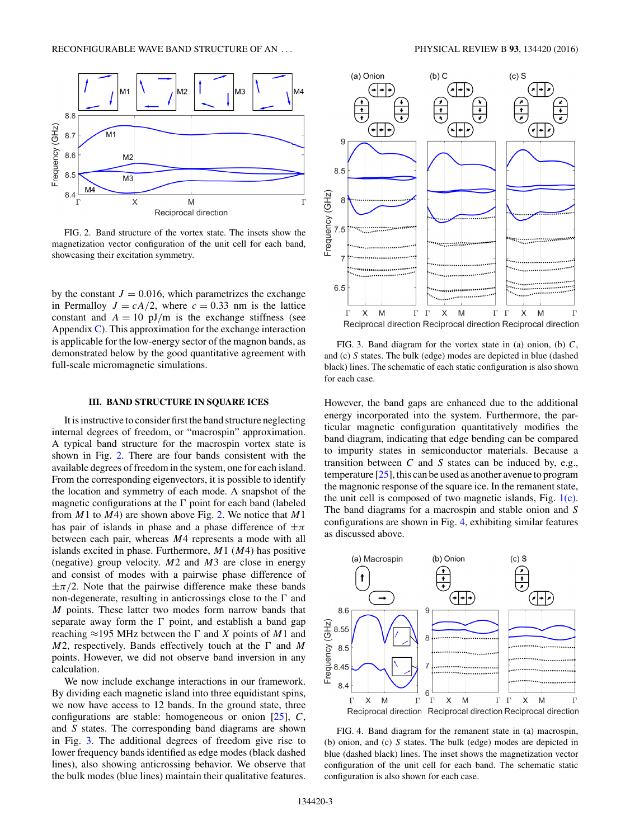

FIG. 2. Band structure of the vortex state. The insets show the magnetization vector configuration of the unit cell for each band, showcasing their excitation symmetry.

by the constant  $J = 0.016$ , which parametrizes the exchange in Permalloy  $J = cA/2$ , where  $c = 0.33$  nm is the lattice constant and  $A = 10$  pJ/m is the exchange stiffness (see Appendix  $\mathbb C$ ). This approximation for the exchange interaction is applicable for the low-energy sector of the magnon bands, as demonstrated below by the good quantitative agreement with full-scale micromagnetic simulations.

#### **III. BAND STRUCTURE IN SQUARE ICES**

It is instructive to consider first the band structure neglecting internal degrees of freedom, or "macrospin" approximation. A typical band structure for the macrospin vortex state is shown in Fig. 2. There are four bands consistent with the available degrees of freedom in the system, one for each island. From the corresponding eigenvectors, it is possible to identify the location and symmetry of each mode. A snapshot of the magnetic configurations at the  $\Gamma$  point for each band (labeled from *M*1 to *M*4) are shown above Fig. 2. We notice that *M*1 has pair of islands in phase and a phase difference of ±*π* between each pair, whereas *M*4 represents a mode with all islands excited in phase. Furthermore, *M*1 (*M*4) has positive (negative) group velocity. *M*2 and *M*3 are close in energy and consist of modes with a pairwise phase difference of  $\pm \pi/2$ . Note that the pairwise difference make these bands non-degenerate, resulting in anticrossings close to the  $\Gamma$  and *M* points. These latter two modes form narrow bands that separate away form the  $\Gamma$  point, and establish a band gap reaching  $\approx$ 195 MHz between the  $\Gamma$  and *X* points of *M*1 and  $M2$ , respectively. Bands effectively touch at the  $\Gamma$  and M points. However, we did not observe band inversion in any calculation.

We now include exchange interactions in our framework. By dividing each magnetic island into three equidistant spins, we now have access to 12 bands. In the ground state, three configurations are stable: homogeneous or onion [\[25\]](#page-6-0), *C*, and *S* states. The corresponding band diagrams are shown in Fig. 3. The additional degrees of freedom give rise to lower frequency bands identified as edge modes (black dashed lines), also showing anticrossing behavior. We observe that the bulk modes (blue lines) maintain their qualitative features.



FIG. 3. Band diagram for the vortex state in (a) onion, (b) *C*, and (c) *S* states. The bulk (edge) modes are depicted in blue (dashed black) lines. The schematic of each static configuration is also shown for each case.

However, the band gaps are enhanced due to the additional energy incorporated into the system. Furthermore, the particular magnetic configuration quantitatively modifies the band diagram, indicating that edge bending can be compared to impurity states in semiconductor materials. Because a transition between *C* and *S* states can be induced by, e.g., temperature [\[25\]](#page-6-0), this can be used as another avenue to program the magnonic response of the square ice. In the remanent state, the unit cell is composed of two magnetic islands, Fig. [1\(c\).](#page-1-0) The band diagrams for a macrospin and stable onion and *S* configurations are shown in Fig. 4, exhibiting similar features as discussed above.



FIG. 4. Band diagram for the remanent state in (a) macrospin, (b) onion, and (c) *S* states. The bulk (edge) modes are depicted in blue (dashed black) lines. The inset shows the magnetization vector configuration of the unit cell for each band. The schematic static configuration is also shown for each case.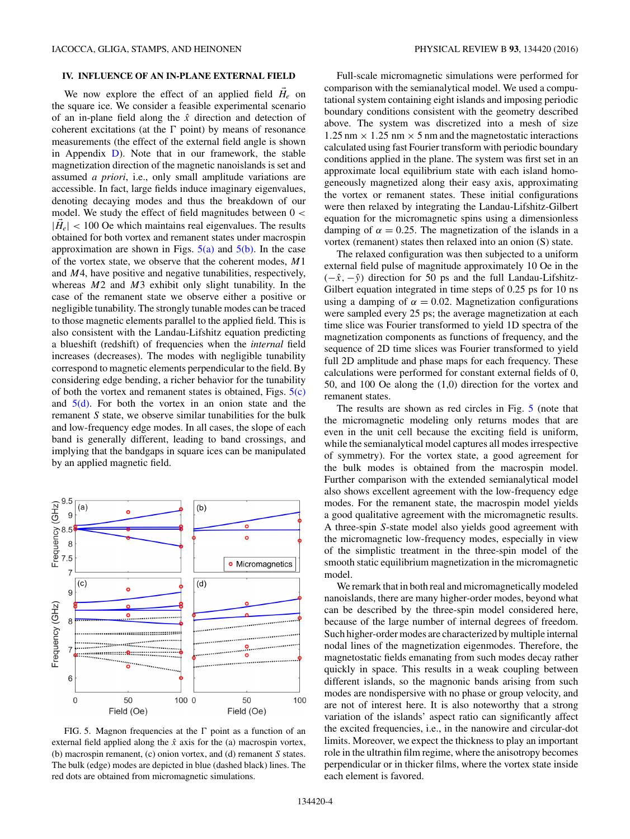## **IV. INFLUENCE OF AN IN-PLANE EXTERNAL FIELD**

We now explore the effect of an applied field  $H_e$  on the square ice. We consider a feasible experimental scenario of an in-plane field along the *x*ˆ direction and detection of coherent excitations (at the  $\Gamma$  point) by means of resonance measurements (the effect of the external field angle is shown in Appendix [D\)](#page-6-0). Note that in our framework, the stable magnetization direction of the magnetic nanoislands is set and assumed *a priori*, i.e., only small amplitude variations are accessible. In fact, large fields induce imaginary eigenvalues, denoting decaying modes and thus the breakdown of our model. We study the effect of field magnitudes between 0 *<*  $|\vec{H}_e|$  < 100 Oe which maintains real eigenvalues. The results obtained for both vortex and remanent states under macrospin approximation are shown in Figs.  $5(a)$  and  $5(b)$ . In the case of the vortex state, we observe that the coherent modes, *M*1 and *M*4, have positive and negative tunabilities, respectively, whereas *M*2 and *M*3 exhibit only slight tunability. In the case of the remanent state we observe either a positive or negligible tunability. The strongly tunable modes can be traced to those magnetic elements parallel to the applied field. This is also consistent with the Landau-Lifshitz equation predicting a blueshift (redshift) of frequencies when the *internal* field increases (decreases). The modes with negligible tunability correspond to magnetic elements perpendicular to the field. By considering edge bending, a richer behavior for the tunability of both the vortex and remanent states is obtained, Figs.  $5(c)$ and  $5(d)$ . For both the vortex in an onion state and the remanent *S* state, we observe similar tunabilities for the bulk and low-frequency edge modes. In all cases, the slope of each band is generally different, leading to band crossings, and implying that the bandgaps in square ices can be manipulated by an applied magnetic field.



FIG. 5. Magnon frequencies at the  $\Gamma$  point as a function of an external field applied along the  $\hat{x}$  axis for the (a) macrospin vortex, (b) macrospin remanent, (c) onion vortex, and (d) remanent *S* states. The bulk (edge) modes are depicted in blue (dashed black) lines. The red dots are obtained from micromagnetic simulations.

Full-scale micromagnetic simulations were performed for comparison with the semianalytical model. We used a computational system containing eight islands and imposing periodic boundary conditions consistent with the geometry described above. The system was discretized into a mesh of size  $1.25$  nm  $\times$  1.25 nm  $\times$  5 nm and the magnetostatic interactions calculated using fast Fourier transform with periodic boundary conditions applied in the plane. The system was first set in an approximate local equilibrium state with each island homogeneously magnetized along their easy axis, approximating the vortex or remanent states. These initial configurations were then relaxed by integrating the Landau-Lifshitz-Gilbert equation for the micromagnetic spins using a dimensionless damping of  $\alpha = 0.25$ . The magnetization of the islands in a vortex (remanent) states then relaxed into an onion (S) state.

The relaxed configuration was then subjected to a uniform external field pulse of magnitude approximately 10 Oe in the  $(-\hat{x}, -\hat{y})$  direction for 50 ps and the full Landau-Lifshitz-Gilbert equation integrated in time steps of 0.25 ps for 10 ns using a damping of  $\alpha = 0.02$ . Magnetization configurations were sampled every 25 ps; the average magnetization at each time slice was Fourier transformed to yield 1D spectra of the magnetization components as functions of frequency, and the sequence of 2D time slices was Fourier transformed to yield full 2D amplitude and phase maps for each frequency. These calculations were performed for constant external fields of 0, 50, and 100 Oe along the (1,0) direction for the vortex and remanent states.

The results are shown as red circles in Fig. 5 (note that the micromagnetic modeling only returns modes that are even in the unit cell because the exciting field is uniform, while the semianalytical model captures all modes irrespective of symmetry). For the vortex state, a good agreement for the bulk modes is obtained from the macrospin model. Further comparison with the extended semianalytical model also shows excellent agreement with the low-frequency edge modes. For the remanent state, the macrospin model yields a good qualitative agreement with the micromagnetic results. A three-spin *S*-state model also yields good agreement with the micromagnetic low-frequency modes, especially in view of the simplistic treatment in the three-spin model of the smooth static equilibrium magnetization in the micromagnetic model.

We remark that in both real and micromagnetically modeled nanoislands, there are many higher-order modes, beyond what can be described by the three-spin model considered here, because of the large number of internal degrees of freedom. Such higher-order modes are characterized by multiple internal nodal lines of the magnetization eigenmodes. Therefore, the magnetostatic fields emanating from such modes decay rather quickly in space. This results in a weak coupling between different islands, so the magnonic bands arising from such modes are nondispersive with no phase or group velocity, and are not of interest here. It is also noteworthy that a strong variation of the islands' aspect ratio can significantly affect the excited frequencies, i.e., in the nanowire and circular-dot limits. Moreover, we expect the thickness to play an important role in the ultrathin film regime, where the anisotropy becomes perpendicular or in thicker films, where the vortex state inside each element is favored.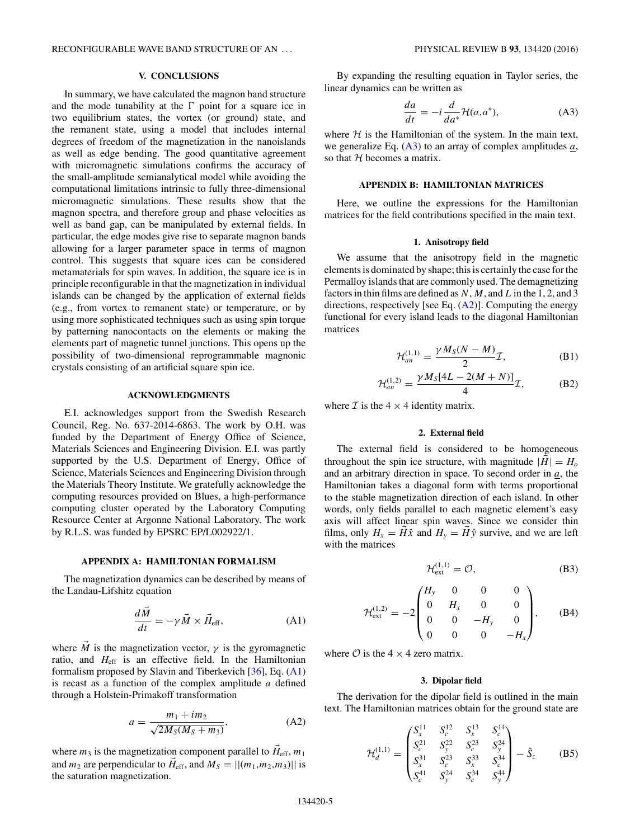<span id="page-4-0"></span>RECONFIGURABLE WAVE BAND STRUCTURE OF AN . . . PHYSICAL REVIEW B **93**, 134420 (2016)

## **V. CONCLUSIONS**

In summary, we have calculated the magnon band structure and the mode tunability at the  $\Gamma$  point for a square ice in two equilibrium states, the vortex (or ground) state, and the remanent state, using a model that includes internal degrees of freedom of the magnetization in the nanoislands as well as edge bending. The good quantitative agreement with micromagnetic simulations confirms the accuracy of the small-amplitude semianalytical model while avoiding the computational limitations intrinsic to fully three-dimensional micromagnetic simulations. These results show that the magnon spectra, and therefore group and phase velocities as well as band gap, can be manipulated by external fields. In particular, the edge modes give rise to separate magnon bands allowing for a larger parameter space in terms of magnon control. This suggests that square ices can be considered metamaterials for spin waves. In addition, the square ice is in principle reconfigurable in that the magnetization in individual islands can be changed by the application of external fields (e.g., from vortex to remanent state) or temperature, or by using more sophisticated techniques such as using spin torque by patterning nanocontacts on the elements or making the elements part of magnetic tunnel junctions. This opens up the possibility of two-dimensional reprogrammable magnonic crystals consisting of an artificial square spin ice.

### **ACKNOWLEDGMENTS**

E.I. acknowledges support from the Swedish Research Council, Reg. No. 637-2014-6863. The work by O.H. was funded by the Department of Energy Office of Science, Materials Sciences and Engineering Division. E.I. was partly supported by the U.S. Department of Energy, Office of Science, Materials Sciences and Engineering Division through the Materials Theory Institute. We gratefully acknowledge the computing resources provided on Blues, a high-performance computing cluster operated by the Laboratory Computing Resource Center at Argonne National Laboratory. The work by R.L.S. was funded by EPSRC EP/L002922/1.

#### **APPENDIX A: HAMILTONIAN FORMALISM**

The magnetization dynamics can be described by means of the Landau-Lifshitz equation

$$
\frac{d\vec{M}}{dt} = -\gamma \vec{M} \times \vec{H}_{\text{eff}},\tag{A1}
$$

where  $\overline{M}$  is the magnetization vector,  $\gamma$  is the gyromagnetic ratio, and  $H_{\text{eff}}$  is an effective field. In the Hamiltonian formalism proposed by Slavin and Tiberkevich [\[36\]](#page-7-0), Eq. (A1) is recast as a function of the complex amplitude *a* defined through a Holstein-Primakoff transformation

$$
a = \frac{m_1 + im_2}{\sqrt{2M_S(M_S + m_3)}},
$$
 (A2)

where  $m_3$  is the magnetization component parallel to  $\vec{H}_{\text{eff}}$ ,  $m_1$ and  $m_2$  are perpendicular to  $\vec{H}_{\text{eff}}$ , and  $M_S = ||(m_1, m_2, m_3)||$  is the saturation magnetization.

By expanding the resulting equation in Taylor series, the linear dynamics can be written as

$$
\frac{da}{dt} = -i \frac{d}{da^*} \mathcal{H}(a, a^*),\tag{A3}
$$

where  $H$  is the Hamiltonian of the system. In the main text, we generalize Eq. (A3) to an array of complex amplitudes *a*, so that  $H$  becomes a matrix.

### **APPENDIX B: HAMILTONIAN MATRICES**

Here, we outline the expressions for the Hamiltonian matrices for the field contributions specified in the main text.

## **1. Anisotropy field**

We assume that the anisotropy field in the magnetic elements is dominated by shape; this is certainly the case for the Permalloy islands that are commonly used. The demagnetizing factors in thin films are defined as *N*, *M*, and*L*in the 1, 2, and 3 directions, respectively [see Eq.  $(A2)$ ]. Computing the energy functional for every island leads to the diagonal Hamiltonian matrices

$$
\mathcal{H}_{an}^{(1,1)} = \frac{\gamma M_S(N-M)}{2} \mathcal{I},\tag{B1}
$$

$$
\mathcal{H}_{an}^{(1,2)} = \frac{\gamma M_S[4L - 2(M + N)]}{4} \mathcal{I},
$$
 (B2)

where  $\mathcal I$  is the 4  $\times$  4 identity matrix.

### **2. External field**

The external field is considered to be homogeneous throughout the spin ice structure, with magnitude  $|H| = H_o$ and an arbitrary direction in space. To second order in *a*, the Hamiltonian takes a diagonal form with terms proportional to the stable magnetization direction of each island. In other words, only fields parallel to each magnetic element's easy axis will affect linear spin waves. Since we consider thin films, only  $H_x = H\hat{x}$  and  $H_y = H\hat{y}$  survive, and we are left with the matrices

$$
\mathcal{H}_{ext}^{(1,1)} = \mathcal{O},\tag{B3}
$$

$$
\mathcal{H}_{ext}^{(1,2)} = -2 \begin{pmatrix} H_y & 0 & 0 & 0 \\ 0 & H_x & 0 & 0 \\ 0 & 0 & -H_y & 0 \\ 0 & 0 & 0 & -H_x \end{pmatrix}, \quad (B4)
$$

where  $\mathcal O$  is the 4  $\times$  4 zero matrix.

#### **3. Dipolar field**

The derivation for the dipolar field is outlined in the main text. The Hamiltonian matrices obtain for the ground state are

$$
\mathcal{H}_d^{(1,1)} = \begin{pmatrix} S_x^{11} & S_c^{12} & S_x^{13} & S_c^{14} \\ S_c^{21} & S_y^{22} & S_c^{23} & S_y^{24} \\ S_x^{31} & S_c^{23} & S_x^{33} & S_c^{34} \\ S_c^{41} & S_y^{24} & S_c^{34} & S_y^{44} \end{pmatrix} - \hat{S}_z \tag{B5}
$$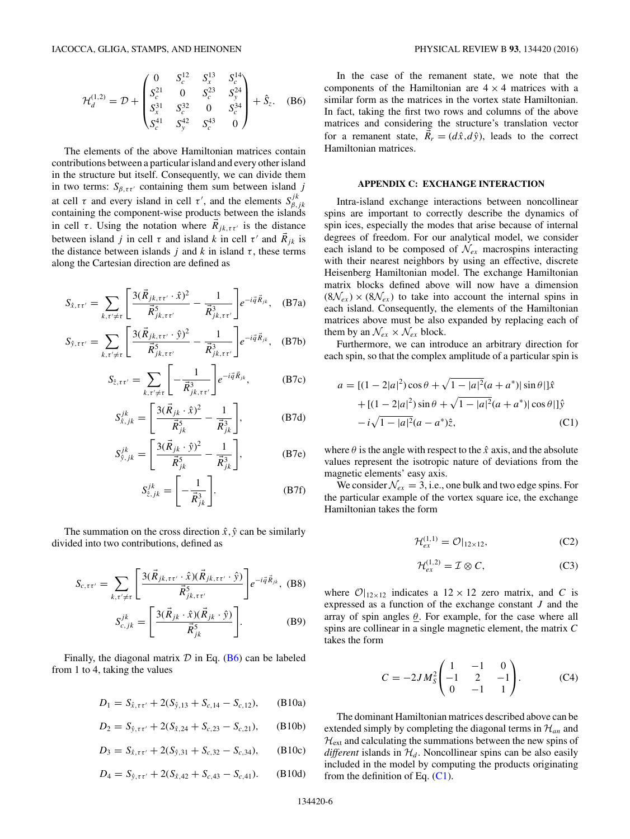<span id="page-5-0"></span>
$$
\mathcal{H}_d^{(1,2)} = \mathcal{D} + \begin{pmatrix} 0 & S_c^{12} & S_x^{13} & S_c^{14} \\ S_c^{21} & 0 & S_c^{23} & S_y^{24} \\ S_x^{31} & S_c^{32} & 0 & S_c^{34} \\ S_c^{41} & S_y^{42} & S_c^{43} & 0 \end{pmatrix} + \hat{S}_z.
$$
 (B6)

The elements of the above Hamiltonian matrices contain contributions between a particular island and every other island in the structure but itself. Consequently, we can divide them in two terms:  $S_{\beta, \tau \tau'}$  containing them sum between island *j* at cell  $\tau$  and every island in cell  $\tau'$ , and the elements  $S_{\beta,jk}^{jk}$ containing the component-wise products between the islands in cell  $\tau$ . Using the notation where  $R_{jk,\tau\tau'}$  is the distance between island *j* in cell  $\tau$  and island *k* in cell  $\tau'$  and  $\overrightarrow{R}_{jk}$  is the distance between islands  $j$  and  $k$  in island  $\tau$ , these terms along the Cartesian direction are defined as

$$
S_{\hat{x},\tau\tau'} = \sum_{k,\tau'\neq\tau} \left[ \frac{3(\vec{R}_{jk,\tau\tau'}\cdot\hat{x})^2}{\vec{R}_{jk,\tau\tau'}^5} - \frac{1}{\vec{R}_{jk,\tau\tau'}^3} \right] e^{-i\vec{q}\cdot\vec{R}_{jk}}, \quad (B7a)
$$

$$
S_{\hat{y},\tau\tau'} = \sum_{k,\tau'\neq\tau} \left[ \frac{3(\vec{R}_{jk,\tau\tau'} \cdot \hat{y})^2}{\vec{R}_{jk,\tau\tau'}^5} - \frac{1}{\vec{R}_{jk,\tau\tau'}^3} \right] e^{-i\vec{q}\cdot\vec{R}_{jk}}, \quad (B7b)
$$

$$
S_{\hat{z},\tau\tau'} = \sum_{k,\tau'\neq\tau} \left[ -\frac{1}{\vec{R}_{jk,\tau\tau'}^3} \right] e^{-i\vec{q}\cdot\vec{R}_{jk}}, \quad (B7c)
$$

$$
S_{\hat{x},jk}^{jk} = \left[ \frac{3(\vec{R}_{jk} \cdot \hat{x})^2}{\vec{R}_{jk}^5} - \frac{1}{\vec{R}_{jk}^3} \right],
$$
 (B7d)

$$
S_{\hat{y},jk}^{jk} = \left[ \frac{3(\vec{R}_{jk} \cdot \hat{y})^2}{\vec{R}_{jk}^5} - \frac{1}{\vec{R}_{jk}^3} \right],
$$
 (B7e)

$$
S_{\hat{z},jk}^{jk} = \left[ -\frac{1}{\vec{R}_{jk}^3} \right].
$$
 (B7f)

The summation on the cross direction  $\hat{x}, \hat{y}$  can be similarly divided into two contributions, defined as

$$
S_{c,\tau\tau'} = \sum_{k,\tau'\neq\tau} \left[ \frac{3(\vec{R}_{jk,\tau\tau'} \cdot \hat{x})(\vec{R}_{jk,\tau\tau'} \cdot \hat{y})}{\vec{R}_{jk,\tau\tau'}^5} \right] e^{-i\vec{q}\cdot\vec{R}_{jk}}, \text{ (B8)}
$$

$$
S_{c,jk}^{jk} = \left[ \frac{3(\vec{R}_{jk} \cdot \hat{x})(\vec{R}_{jk} \cdot \hat{y})}{\vec{R}_{jk}^5} \right].
$$

Finally, the diagonal matrix  $D$  in Eq. (B6) can be labeled from 1 to 4, taking the values

$$
D_1 = S_{\hat{x}, \tau \tau'} + 2(S_{\hat{y}, 13} + S_{c, 14} - S_{c, 12}), \quad (B10a)
$$

$$
D_2 = S_{\hat{y}, \tau \tau'} + 2(S_{\hat{x}, 24} + S_{c, 23} - S_{c, 21}), \quad (B10b)
$$

$$
D_3 = S_{\hat{x}, \tau \tau'} + 2(S_{\hat{y}, 31} + S_{c, 32} - S_{c, 34}), \quad (B10c)
$$

$$
D_4 = S_{\hat{y}, \tau \tau'} + 2(S_{\hat{x}, 42} + S_{c, 43} - S_{c, 41}).
$$
 (B10d)

In the case of the remanent state, we note that the components of the Hamiltonian are  $4 \times 4$  matrices with a similar form as the matrices in the vortex state Hamiltonian. In fact, taking the first two rows and columns of the above matrices and considering the structure's translation vector for a remanent state,  $R_r = (d\hat{x}, d\hat{y})$ , leads to the correct Hamiltonian matrices.

#### **APPENDIX C: EXCHANGE INTERACTION**

Intra-island exchange interactions between noncollinear spins are important to correctly describe the dynamics of spin ices, especially the modes that arise because of internal degrees of freedom. For our analytical model, we consider each island to be composed of  $\mathcal{N}_{ex}$  macrospins interacting with their nearest neighbors by using an effective, discrete Heisenberg Hamiltonian model. The exchange Hamiltonian matrix blocks defined above will now have a dimension  $(8\mathcal{N}_{ex}) \times (8\mathcal{N}_{ex})$  to take into account the internal spins in each island. Consequently, the elements of the Hamiltonian matrices above must be also expanded by replacing each of them by an  $\mathcal{N}_{ex} \times \mathcal{N}_{ex}$  block.

Furthermore, we can introduce an arbitrary direction for each spin, so that the complex amplitude of a particular spin is

$$
a = [(1 - 2|a|^2)\cos\theta + \sqrt{1 - |a|^2}(a + a^*)|\sin\theta|]\hat{x}
$$
  
+ 
$$
[(1 - 2|a|^2)\sin\theta + \sqrt{1 - |a|^2}(a + a^*)|\cos\theta|]\hat{y}
$$
  
- 
$$
i\sqrt{1 - |a|^2}(a - a^*)\hat{z},
$$
 (C1)

where  $\theta$  is the angle with respect to the  $\hat{x}$  axis, and the absolute values represent the isotropic nature of deviations from the magnetic elements' easy axis.

We consider  $\mathcal{N}_{ex} = 3$ , i.e., one bulk and two edge spins. For the particular example of the vortex square ice, the exchange Hamiltonian takes the form

$$
\mathcal{H}_{ex}^{(1,1)} = \mathcal{O}|_{12 \times 12},\tag{C2}
$$

$$
\mathcal{H}_{ex}^{(1,2)} = \mathcal{I} \otimes \mathcal{C},\tag{C3}
$$

where  $\mathcal{O}|_{12\times12}$  indicates a  $12\times12$  zero matrix, and *C* is expressed as a function of the exchange constant *J* and the array of spin angles *θ*. For example, for the case where all spins are collinear in a single magnetic element, the matrix *C* takes the form

$$
C = -2JM_S^2 \begin{pmatrix} 1 & -1 & 0 \\ -1 & 2 & -1 \\ 0 & -1 & 1 \end{pmatrix}.
$$
 (C4)

The dominant Hamiltonian matrices described above can be extended simply by completing the diagonal terms in  $\mathcal{H}_{an}$  and  $H<sub>ext</sub>$  and calculating the summations between the new spins of *different* islands in  $H_d$ . Noncollinear spins can be also easily included in the model by computing the products originating from the definition of Eq.  $(C1)$ .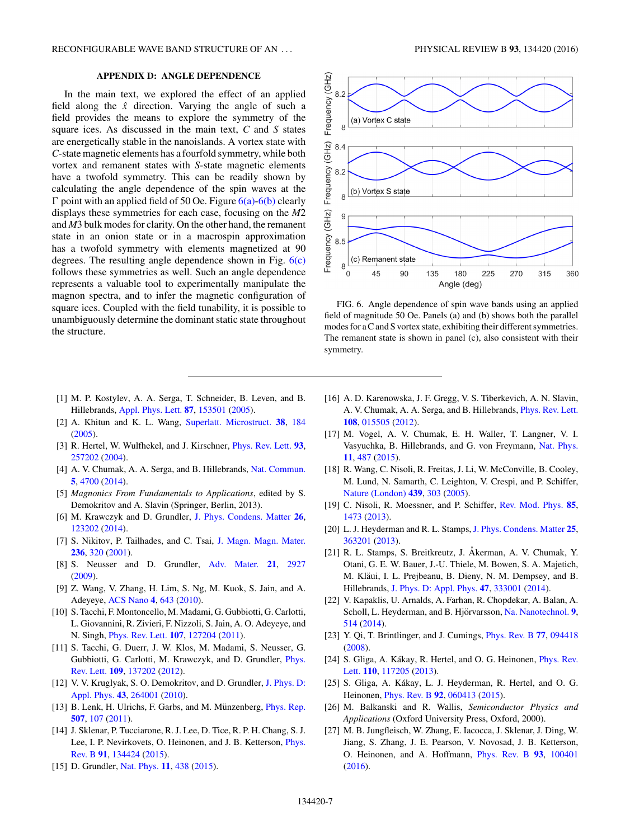## **APPENDIX D: ANGLE DEPENDENCE**

<span id="page-6-0"></span>In the main text, we explored the effect of an applied field along the  $\hat{x}$  direction. Varying the angle of such a field provides the means to explore the symmetry of the square ices. As discussed in the main text, *C* and *S* states are energetically stable in the nanoislands. A vortex state with *C*-state magnetic elements has a fourfold symmetry, while both vortex and remanent states with *S*-state magnetic elements have a twofold symmetry. This can be readily shown by calculating the angle dependence of the spin waves at the  $\Gamma$  point with an applied field of 50 Oe. Figure  $6(a)$ - $6(b)$  clearly displays these symmetries for each case, focusing on the *M*2 and *M*3 bulk modes for clarity. On the other hand, the remanent state in an onion state or in a macrospin approximation has a twofold symmetry with elements magnetized at 90 degrees. The resulting angle dependence shown in Fig.  $6(c)$ follows these symmetries as well. Such an angle dependence represents a valuable tool to experimentally manipulate the magnon spectra, and to infer the magnetic configuration of square ices. Coupled with the field tunability, it is possible to unambiguously determine the dominant static state throughout the structure.

- [1] M. P. Kostylev, A. A. Serga, T. Schneider, B. Leven, and B. Hillebrands, [Appl. Phys. Lett.](http://dx.doi.org/10.1063/1.2089147) **[87](http://dx.doi.org/10.1063/1.2089147)**, [153501](http://dx.doi.org/10.1063/1.2089147) [\(2005\)](http://dx.doi.org/10.1063/1.2089147).
- [2] A. Khitun and K. L. Wang, [Superlatt. Microstruct.](http://dx.doi.org/10.1016/j.spmi.2005.07.001) **[38](http://dx.doi.org/10.1016/j.spmi.2005.07.001)**, [184](http://dx.doi.org/10.1016/j.spmi.2005.07.001) [\(2005\)](http://dx.doi.org/10.1016/j.spmi.2005.07.001).
- [3] R. Hertel, W. Wulfhekel, and J. Kirschner, [Phys. Rev. Lett.](http://dx.doi.org/10.1103/PhysRevLett.93.257202) **[93](http://dx.doi.org/10.1103/PhysRevLett.93.257202)**, [257202](http://dx.doi.org/10.1103/PhysRevLett.93.257202) [\(2004\)](http://dx.doi.org/10.1103/PhysRevLett.93.257202).
- [4] A. V. Chumak, A. A. Serga, and B. Hillebrands, [Nat. Commun.](http://dx.doi.org/10.1038/ncomms5700) **[5](http://dx.doi.org/10.1038/ncomms5700)**, [4700](http://dx.doi.org/10.1038/ncomms5700) [\(2014\)](http://dx.doi.org/10.1038/ncomms5700).
- [5] *Magnonics From Fundamentals to Applications*, edited by S. Demokritov and A. Slavin (Springer, Berlin, 2013).
- [6] M. Krawczyk and D. Grundler, [J. Phys. Condens. Matter](http://dx.doi.org/10.1088/0953-8984/26/12/123202) **[26](http://dx.doi.org/10.1088/0953-8984/26/12/123202)**, [123202](http://dx.doi.org/10.1088/0953-8984/26/12/123202) [\(2014\)](http://dx.doi.org/10.1088/0953-8984/26/12/123202).
- [7] S. Nikitov, P. Tailhades, and C. Tsai, [J. Magn. Magn. Mater.](http://dx.doi.org/10.1016/S0304-8853(01)00470-X) **[236](http://dx.doi.org/10.1016/S0304-8853(01)00470-X)**, [320](http://dx.doi.org/10.1016/S0304-8853(01)00470-X) [\(2001\)](http://dx.doi.org/10.1016/S0304-8853(01)00470-X).
- [8] S. Neusser and D. Grundler, [Adv. Mater.](http://dx.doi.org/10.1002/adma.200900809) **[21](http://dx.doi.org/10.1002/adma.200900809)**, [2927](http://dx.doi.org/10.1002/adma.200900809) [\(2009\)](http://dx.doi.org/10.1002/adma.200900809).
- [9] Z. Wang, V. Zhang, H. Lim, S. Ng, M. Kuok, S. Jain, and A. Adeyeye, [ACS Nano](http://dx.doi.org/10.1021/nn901171u) **[4](http://dx.doi.org/10.1021/nn901171u)**, [643](http://dx.doi.org/10.1021/nn901171u) [\(2010\)](http://dx.doi.org/10.1021/nn901171u).
- [10] S. Tacchi, F. Montoncello, M. Madami, G. Gubbiotti, G. Carlotti, L. Giovannini, R. Zivieri, F. Nizzoli, S. Jain, A. O. Adeyeye, and N. Singh, [Phys. Rev. Lett.](http://dx.doi.org/10.1103/PhysRevLett.107.127204) **[107](http://dx.doi.org/10.1103/PhysRevLett.107.127204)**, [127204](http://dx.doi.org/10.1103/PhysRevLett.107.127204) [\(2011\)](http://dx.doi.org/10.1103/PhysRevLett.107.127204).
- [11] S. Tacchi, G. Duerr, J. W. Klos, M. Madami, S. Neusser, G. [Gubbiotti, G. Carlotti, M. Krawczyk, and D. Grundler,](http://dx.doi.org/10.1103/PhysRevLett.109.137202) Phys. Rev. Lett. **[109](http://dx.doi.org/10.1103/PhysRevLett.109.137202)**, [137202](http://dx.doi.org/10.1103/PhysRevLett.109.137202) [\(2012\)](http://dx.doi.org/10.1103/PhysRevLett.109.137202).
- [12] [V. V. Kruglyak, S. O. Demokritov, and D. Grundler,](http://dx.doi.org/10.1088/0022-3727/43/26/264001) J. Phys. D: Appl. Phys. **[43](http://dx.doi.org/10.1088/0022-3727/43/26/264001)**, [264001](http://dx.doi.org/10.1088/0022-3727/43/26/264001) [\(2010\)](http://dx.doi.org/10.1088/0022-3727/43/26/264001).
- [13] B. Lenk, H. Ulrichs, F. Garbs, and M. Münzenberg, *[Phys. Rep.](http://dx.doi.org/10.1016/j.physrep.2011.06.003)* **[507](http://dx.doi.org/10.1016/j.physrep.2011.06.003)**, [107](http://dx.doi.org/10.1016/j.physrep.2011.06.003) [\(2011\)](http://dx.doi.org/10.1016/j.physrep.2011.06.003).
- [14] J. Sklenar, P. Tucciarone, R. J. Lee, D. Tice, R. P. H. Chang, S. J. [Lee, I. P. Nevirkovets, O. Heinonen, and J. B. Ketterson,](http://dx.doi.org/10.1103/PhysRevB.91.134424) Phys. Rev. B **[91](http://dx.doi.org/10.1103/PhysRevB.91.134424)**, [134424](http://dx.doi.org/10.1103/PhysRevB.91.134424) [\(2015\)](http://dx.doi.org/10.1103/PhysRevB.91.134424).
- [15] D. Grundler, [Nat. Phys.](http://dx.doi.org/10.1038/nphys3349) **[11](http://dx.doi.org/10.1038/nphys3349)**, [438](http://dx.doi.org/10.1038/nphys3349) [\(2015\)](http://dx.doi.org/10.1038/nphys3349).



FIG. 6. Angle dependence of spin wave bands using an applied field of magnitude 50 Oe. Panels (a) and (b) shows both the parallel modes for a C and S vortex state, exhibiting their different symmetries. The remanent state is shown in panel (c), also consistent with their symmetry.

- [16] A. D. Karenowska, J. F. Gregg, V. S. Tiberkevich, A. N. Slavin, A. V. Chumak, A. A. Serga, and B. Hillebrands, [Phys. Rev. Lett.](http://dx.doi.org/10.1103/PhysRevLett.108.015505) **[108](http://dx.doi.org/10.1103/PhysRevLett.108.015505)**, [015505](http://dx.doi.org/10.1103/PhysRevLett.108.015505) [\(2012\)](http://dx.doi.org/10.1103/PhysRevLett.108.015505).
- [17] M. Vogel, A. V. Chumak, E. H. Waller, T. Langner, V. I. Vasyuchka, B. Hillebrands, and G. von Freymann, [Nat. Phys.](http://dx.doi.org/10.1038/nphys3325) **[11](http://dx.doi.org/10.1038/nphys3325)**, [487](http://dx.doi.org/10.1038/nphys3325) [\(2015\)](http://dx.doi.org/10.1038/nphys3325).
- [18] R. Wang, C. Nisoli, R. Freitas, J. Li, W. McConville, B. Cooley, M. Lund, N. Samarth, C. Leighton, V. Crespi, and P. Schiffer, [Nature \(London\)](http://dx.doi.org/10.1038/nature04447) **[439](http://dx.doi.org/10.1038/nature04447)**, [303](http://dx.doi.org/10.1038/nature04447) [\(2005\)](http://dx.doi.org/10.1038/nature04447).
- [19] C. Nisoli, R. Moessner, and P. Schiffer, [Rev. Mod. Phys.](http://dx.doi.org/10.1103/RevModPhys.85.1473) **[85](http://dx.doi.org/10.1103/RevModPhys.85.1473)**, [1473](http://dx.doi.org/10.1103/RevModPhys.85.1473) [\(2013\)](http://dx.doi.org/10.1103/RevModPhys.85.1473).
- [20] L. J. Heyderman and R. L. Stamps, [J. Phys. Condens. Matter](http://dx.doi.org/10.1088/0953-8984/25/36/363201) **[25](http://dx.doi.org/10.1088/0953-8984/25/36/363201)**, [363201](http://dx.doi.org/10.1088/0953-8984/25/36/363201) [\(2013\)](http://dx.doi.org/10.1088/0953-8984/25/36/363201).
- [21] R. L. Stamps, S. Breitkreutz, J. Åkerman, A. V. Chumak, Y. Otani, G. E. W. Bauer, J.-U. Thiele, M. Bowen, S. A. Majetich, M. Kläui, I. L. Prejbeanu, B. Dieny, N. M. Dempsey, and B. Hillebrands, [J. Phys. D: Appl. Phys.](http://dx.doi.org/10.1088/0022-3727/47/33/333001) **[47](http://dx.doi.org/10.1088/0022-3727/47/33/333001)**, [333001](http://dx.doi.org/10.1088/0022-3727/47/33/333001) [\(2014\)](http://dx.doi.org/10.1088/0022-3727/47/33/333001).
- [22] V. Kapaklis, U. Arnalds, A. Farhan, R. Chopdekar, A. Balan, A. Scholl, L. Heyderman, and B. Hjörvarsson, [Na. Nanotechnol.](http://dx.doi.org/10.1038/nnano.2014.104) [9](http://dx.doi.org/10.1038/nnano.2014.104), [514](http://dx.doi.org/10.1038/nnano.2014.104) [\(2014\)](http://dx.doi.org/10.1038/nnano.2014.104).
- [23] Y. Qi, T. Brintlinger, and J. Cumings, [Phys. Rev. B](http://dx.doi.org/10.1103/PhysRevB.77.094418) **[77](http://dx.doi.org/10.1103/PhysRevB.77.094418)**, [094418](http://dx.doi.org/10.1103/PhysRevB.77.094418) [\(2008\)](http://dx.doi.org/10.1103/PhysRevB.77.094418).
- [24] S. Gliga, A. Kákay, R. Hertel, and O. G. Heinonen, *Phys. Rev.* Lett. **[110](http://dx.doi.org/10.1103/PhysRevLett.110.117205)**, [117205](http://dx.doi.org/10.1103/PhysRevLett.110.117205) [\(2013\)](http://dx.doi.org/10.1103/PhysRevLett.110.117205).
- [25] S. Gliga, A. Kákay, L. J. Heyderman, R. Hertel, and O. G. Heinonen, [Phys. Rev. B](http://dx.doi.org/10.1103/PhysRevB.92.060413) **[92](http://dx.doi.org/10.1103/PhysRevB.92.060413)**, [060413](http://dx.doi.org/10.1103/PhysRevB.92.060413) [\(2015\)](http://dx.doi.org/10.1103/PhysRevB.92.060413).
- [26] M. Balkanski and R. Wallis, *Semiconductor Physics and Applications* (Oxford University Press, Oxford, 2000).
- [27] M. B. Jungfleisch, W. Zhang, E. Iacocca, J. Sklenar, J. Ding, W. Jiang, S. Zhang, J. E. Pearson, V. Novosad, J. B. Ketterson, O. Heinonen, and A. Hoffmann, [Phys. Rev. B](http://dx.doi.org/10.1103/PhysRevB.93.100401) **[93](http://dx.doi.org/10.1103/PhysRevB.93.100401)**, [100401](http://dx.doi.org/10.1103/PhysRevB.93.100401) [\(2016\)](http://dx.doi.org/10.1103/PhysRevB.93.100401).